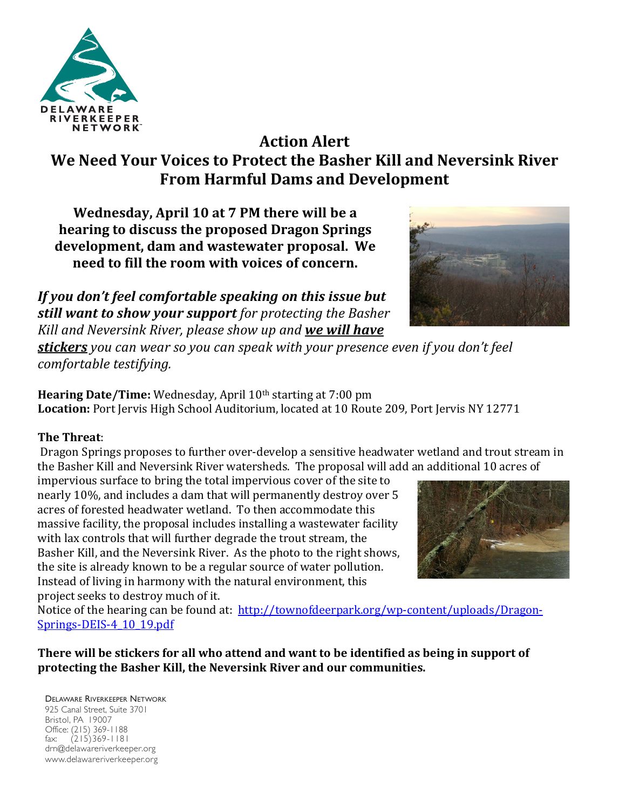

# **Action Alert** We Need Your Voices to Protect the Basher Kill and Neversink River **From Harmful Dams and Development**

**Wednesday, April 10 at 7 PM there will be a hearing to discuss the proposed Dragon Springs** development, dam and wastewater proposal. We **need to fill the room with voices of concern.** 

If you don't feel comfortable speaking on this issue but still want to show your support for protecting the Basher *Kill and Neversink River, please show up and we will have* 



**stickers** you can wear so you can speak with your presence even if you don't feel *comfortable testifying.*

**Hearing Date/Time:** Wednesday, April 10<sup>th</sup> starting at 7:00 pm Location: Port Jervis High School Auditorium, located at 10 Route 209, Port Jervis NY 12771

# **The Threat**:

Dragon Springs proposes to further over-develop a sensitive headwater wetland and trout stream in the Basher Kill and Neversink River watersheds. The proposal will add an additional 10 acres of

impervious surface to bring the total impervious cover of the site to nearly 10%, and includes a dam that will permanently destroy over 5 acres of forested headwater wetland. To then accommodate this massive facility, the proposal includes installing a wastewater facility with lax controls that will further degrade the trout stream, the Basher Kill, and the Neversink River. As the photo to the right shows, the site is already known to be a regular source of water pollution. Instead of living in harmony with the natural environment, this project seeks to destroy much of it.



Notice of the hearing can be found at: http://townofdeerpark.org/wp-content/uploads/Dragon-Springs-DEIS-4\_10\_19.pdf

### **There will be stickers for all who attend and want to be identified as being in support of** protecting the Basher Kill, the Neversink River and our communities.

#### DELAWARE RIVERKEEPER NETWORK 925 Canal Street, Suite 3701 Bristol, PA 19007 Office: (215) 369-1188 fax: (215)369-1181 drn@delawareriverkeeper.org www.delawareriverkeeper.org